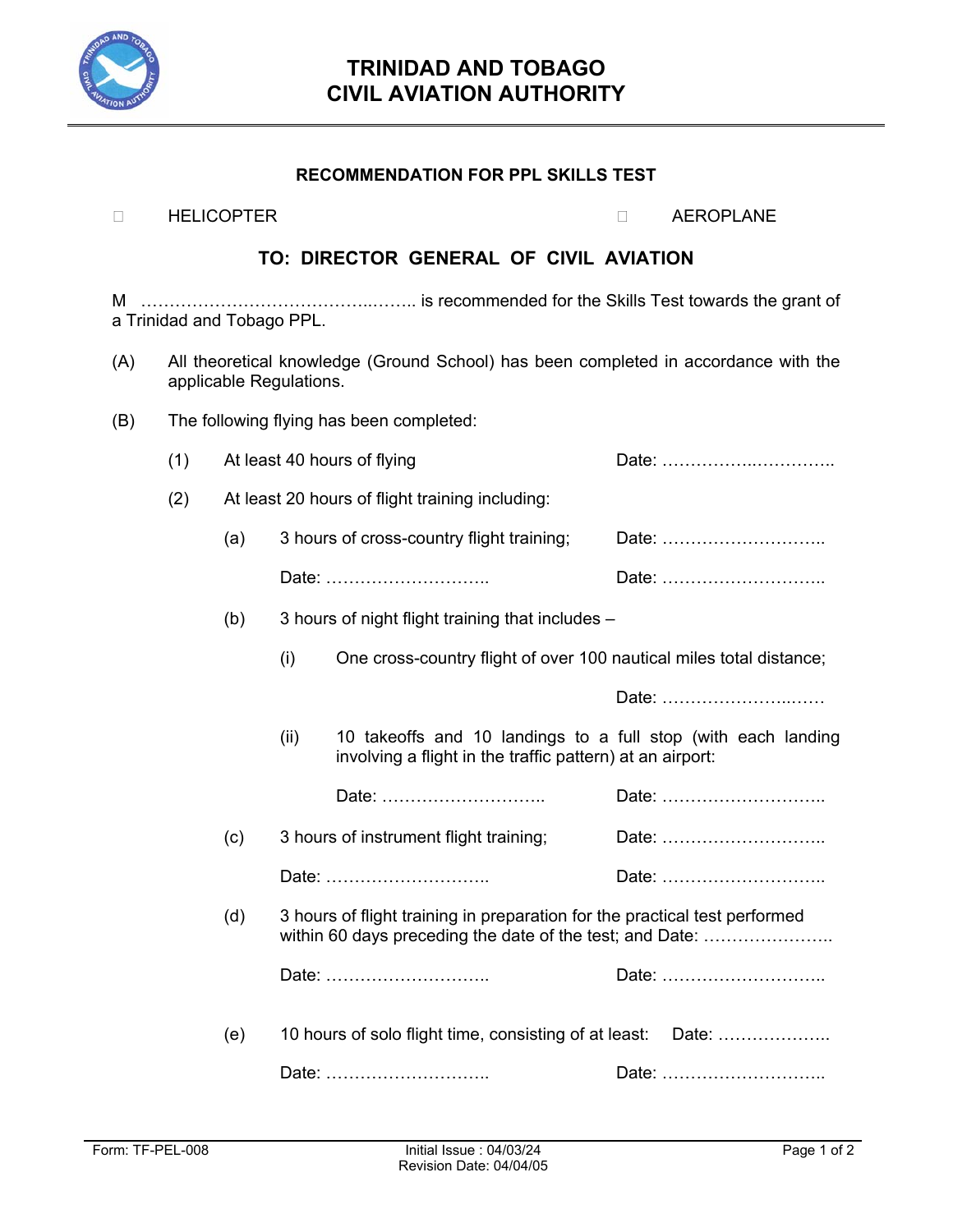

## **TRINIDAD AND TOBAGO CIVIL AVIATION AUTHORITY**

## $\Box$  Helicopter  $\Box$  aeroplane

## **TO: DIRECTOR GENERAL OF CIVIL AVIATION**

M …………………………………..…….. is recommended for the Skills Test towards the grant of a Trinidad and Tobago PPL.

- (A) All theoretical knowledge (Ground School) has been completed in accordance with the applicable Regulations.
- (B) The following flying has been completed:

| (1) |     | At least 40 hours of flying                      | Date: |  |  |  |  |  |  |
|-----|-----|--------------------------------------------------|-------|--|--|--|--|--|--|
| (2) |     | At least 20 hours of flight training including:  |       |  |  |  |  |  |  |
|     | (a) | 3 hours of cross-country flight training;        | Date: |  |  |  |  |  |  |
|     |     |                                                  | Date: |  |  |  |  |  |  |
|     | (b) | 3 hours of night flight training that includes - |       |  |  |  |  |  |  |
|     |     |                                                  |       |  |  |  |  |  |  |

(i) One cross-country flight of over 100 nautical miles total distance;

| Date: |  |  |  |  |  |  |  |  |  |  |  |  |  |  |  |  |  |  |  |  |  |  |  |  |  |  |  |  |
|-------|--|--|--|--|--|--|--|--|--|--|--|--|--|--|--|--|--|--|--|--|--|--|--|--|--|--|--|--|
|-------|--|--|--|--|--|--|--|--|--|--|--|--|--|--|--|--|--|--|--|--|--|--|--|--|--|--|--|--|

(ii) 10 takeoffs and 10 landings to a full stop (with each landing involving a flight in the traffic pattern) at an airport:

| . |
|---|
|   |

- (c) 3 hours of instrument flight training; Date: ……………………….. Date: ……………………….. Date: ………………………..
- (d) 3 hours of flight training in preparation for the practical test performed within 60 days preceding the date of the test; and Date: ........................ Date: ……………………….. Date: ………………………..
- (e) 10 hours of solo flight time, consisting of at least: Date: ……………….. Date: ……………………….. Date: ………………………..